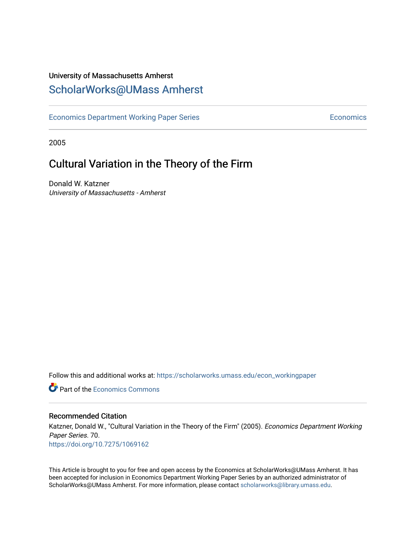### University of Massachusetts Amherst [ScholarWorks@UMass Amherst](https://scholarworks.umass.edu/)

[Economics Department Working Paper Series](https://scholarworks.umass.edu/econ_workingpaper) **Economics** Economics

2005

### Cultural Variation in the Theory of the Firm

Donald W. Katzner University of Massachusetts - Amherst

Follow this and additional works at: [https://scholarworks.umass.edu/econ\\_workingpaper](https://scholarworks.umass.edu/econ_workingpaper?utm_source=scholarworks.umass.edu%2Fecon_workingpaper%2F70&utm_medium=PDF&utm_campaign=PDFCoverPages) 

**C** Part of the [Economics Commons](http://network.bepress.com/hgg/discipline/340?utm_source=scholarworks.umass.edu%2Fecon_workingpaper%2F70&utm_medium=PDF&utm_campaign=PDFCoverPages)

#### Recommended Citation

Katzner, Donald W., "Cultural Variation in the Theory of the Firm" (2005). Economics Department Working Paper Series. 70. <https://doi.org/10.7275/1069162>

This Article is brought to you for free and open access by the Economics at ScholarWorks@UMass Amherst. It has been accepted for inclusion in Economics Department Working Paper Series by an authorized administrator of ScholarWorks@UMass Amherst. For more information, please contact [scholarworks@library.umass.edu.](mailto:scholarworks@library.umass.edu)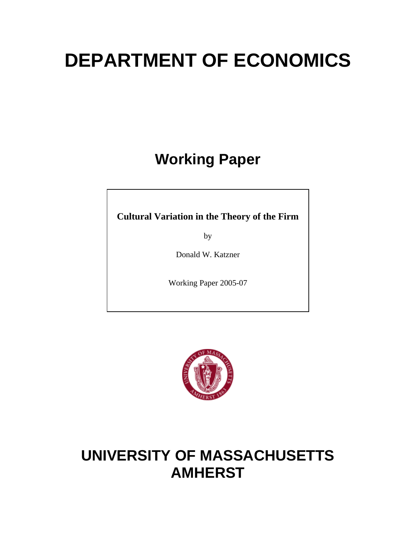# **DEPARTMENT OF ECONOMICS**

# **Working Paper**

**Cultural Variation in the Theory of the Firm**

by

Donald W. Katzner

Working Paper 2005-07



## **UNIVERSITY OF MASSACHUSETTS AMHERST**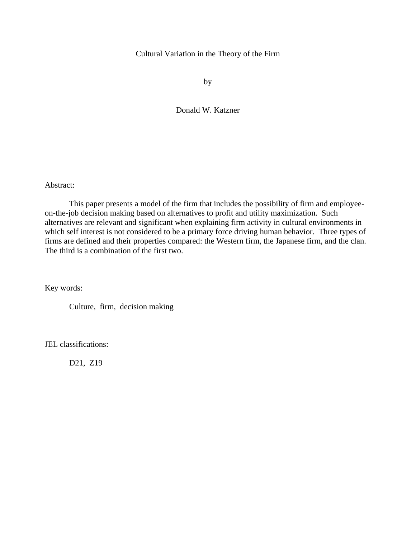#### Cultural Variation in the Theory of the Firm

by

Donald W. Katzner

Abstract:

 This paper presents a model of the firm that includes the possibility of firm and employeeon-the-job decision making based on alternatives to profit and utility maximization. Such alternatives are relevant and significant when explaining firm activity in cultural environments in which self interest is not considered to be a primary force driving human behavior. Three types of firms are defined and their properties compared: the Western firm, the Japanese firm, and the clan. The third is a combination of the first two.

Key words:

Culture, firm, decision making

JEL classifications:

D21, Z19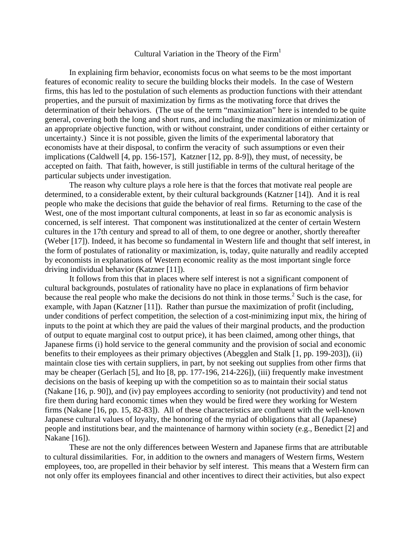#### Cultural Variation in the Theory of the  $Firm<sup>1</sup>$

In explaining firm behavior, economists focus on what seems to be the most important features of economic reality to secure the building blocks their models. In the case of Western firms, this has led to the postulation of such elements as production functions with their attendant properties, and the pursuit of maximization by firms as the motivating force that drives the determination of their behaviors. (The use of the term "maximization" here is intended to be quite general, covering both the long and short runs, and including the maximization or minimization of an appropriate objective function, with or without constraint, under conditions of either certainty or uncertainty.) Since it is not possible, given the limits of the experimental laboratory that economists have at their disposal, to confirm the veracity of such assumptions or even their implications (Caldwell [4, pp. 156-157], Katzner [12, pp. 8-9]), they must, of necessity, be accepted on faith. That faith, however, is still justifiable in terms of the cultural heritage of the particular subjects under investigation.

The reason why culture plays a role here is that the forces that motivate real people are determined, to a considerable extent, by their cultural backgrounds (Katzner [14]). And it is real people who make the decisions that guide the behavior of real firms. Returning to the case of the West, one of the most important cultural components, at least in so far as economic analysis is concerned, is self interest. That component was institutionalized at the center of certain Western cultures in the 17th century and spread to all of them, to one degree or another, shortly thereafter (Weber [17]). Indeed, it has become so fundamental in Western life and thought that self interest, in the form of postulates of rationality or maximization, is, today, quite naturally and readily accepted by economists in explanations of Western economic reality as the most important single force driving individual behavior (Katzner [11]).

It follows from this that in places where self interest is not a significant component of cultural backgrounds, postulates of rationality have no place in explanations of firm behavior because the real people who make the decisions do not think in those terms.<sup>2</sup> Such is the case, for example, with Japan (Katzner [11]). Rather than pursue the maximization of profit (including, under conditions of perfect competition, the selection of a cost-minimizing input mix, the hiring of inputs to the point at which they are paid the values of their marginal products, and the production of output to equate marginal cost to output price), it has been claimed, among other things, that Japanese firms (i) hold service to the general community and the provision of social and economic benefits to their employees as their primary objectives (Abegglen and Stalk [1, pp. 199-203]), (ii) maintain close ties with certain suppliers, in part, by not seeking out supplies from other firms that may be cheaper (Gerlach [5], and Ito [8, pp. 177-196, 214-226]), (iii) frequently make investment decisions on the basis of keeping up with the competition so as to maintain their social status (Nakane [16, p. 90]), and (iv) pay employees according to seniority (not productivity) and tend not fire them during hard economic times when they would be fired were they working for Western firms (Nakane [16, pp. 15, 82-83]). All of these characteristics are confluent with the well-known Japanese cultural values of loyalty, the honoring of the myriad of obligations that all (Japanese) people and institutions bear, and the maintenance of harmony within society (e.g., Benedict [2] and Nakane [16]).

These are not the only differences between Western and Japanese firms that are attributable to cultural dissimilarities. For, in addition to the owners and managers of Western firms, Western employees, too, are propelled in their behavior by self interest. This means that a Western firm can not only offer its employees financial and other incentives to direct their activities, but also expect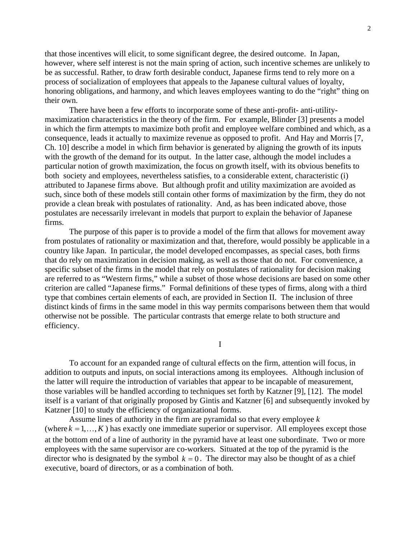that those incentives will elicit, to some significant degree, the desired outcome. In Japan, however, where self interest is not the main spring of action, such incentive schemes are unlikely to be as successful. Rather, to draw forth desirable conduct, Japanese firms tend to rely more on a process of socialization of employees that appeals to the Japanese cultural values of loyalty, honoring obligations, and harmony, and which leaves employees wanting to do the "right" thing on their own.

There have been a few efforts to incorporate some of these anti-profit- anti-utilitymaximization characteristics in the theory of the firm. For example, Blinder [3] presents a model in which the firm attempts to maximize both profit and employee welfare combined and which, as a consequence, leads it actually to maximize revenue as opposed to profit. And Hay and Morris [7, Ch. 10] describe a model in which firm behavior is generated by aligning the growth of its inputs with the growth of the demand for its output. In the latter case, although the model includes a particular notion of growth maximization, the focus on growth itself, with its obvious benefits to both society and employees, nevertheless satisfies, to a considerable extent, characteristic (i) attributed to Japanese firms above. But although profit and utility maximization are avoided as such, since both of these models still contain other forms of maximization by the firm, they do not provide a clean break with postulates of rationality. And, as has been indicated above, those postulates are necessarily irrelevant in models that purport to explain the behavior of Japanese firms.

The purpose of this paper is to provide a model of the firm that allows for movement away from postulates of rationality or maximization and that, therefore, would possibly be applicable in a country like Japan. In particular, the model developed encompasses, as special cases, both firms that do rely on maximization in decision making, as well as those that do not. For convenience, a specific subset of the firms in the model that rely on postulates of rationality for decision making are referred to as "Western firms," while a subset of those whose decisions are based on some other criterion are called "Japanese firms." Formal definitions of these types of firms, along with a third type that combines certain elements of each, are provided in Section II. The inclusion of three distinct kinds of firms in the same model in this way permits comparisons between them that would otherwise not be possible. The particular contrasts that emerge relate to both structure and efficiency.

I

To account for an expanded range of cultural effects on the firm, attention will focus, in addition to outputs and inputs, on social interactions among its employees. Although inclusion of the latter will require the introduction of variables that appear to be incapable of measurement, those variables will be handled according to techniques set forth by Katzner [9], [12]. The model itself is a variant of that originally proposed by Gintis and Katzner [6] and subsequently invoked by Katzner [10] to study the efficiency of organizational forms.

Assume lines of authority in the firm are pyramidal so that every employee *k* (where  $k = 1, ..., K$ ) has exactly one immediate superior or supervisor. All employees except those at the bottom end of a line of authority in the pyramid have at least one subordinate. Two or more employees with the same supervisor are co-workers. Situated at the top of the pyramid is the director who is designated by the symbol  $k = 0$ . The director may also be thought of as a chief executive, board of directors, or as a combination of both.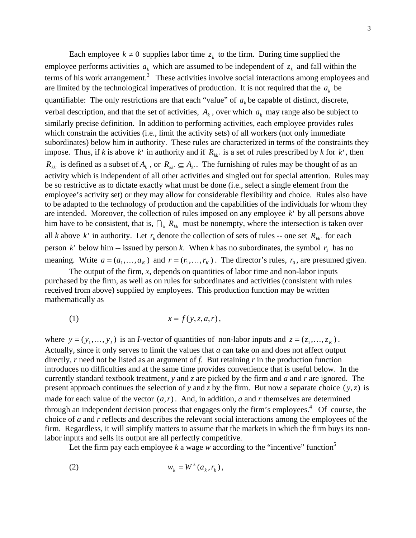Each employee  $k \neq 0$  supplies labor time  $z_k$  to the firm. During time supplied the employee performs activities  $a_k$  which are assumed to be independent of  $z_k$  and fall within the terms of his work arrangement.<sup>3</sup> These activities involve social interactions among employees and are limited by the technological imperatives of production. It is not required that the  $a_k$  be quantifiable: The only restrictions are that each "value" of  $a_k$  be capable of distinct, discrete, verbal description, and that the set of activities,  $A_k$ , over which  $a_k$  may range also be subject to similarly precise definition. In addition to performing activities, each employee provides rules which constrain the activities (i.e., limit the activity sets) of all workers (not only immediate subordinates) below him in authority. These rules are characterized in terms of the constraints they impose. Thus, if *k* is above *k*' in authority and if  $R_{kk}$  is a set of rules prescribed by *k* for *k*', then  $R_{kk}$  is defined as a subset of  $A_{k}$ , or  $R_{kk'} \subseteq A_{k'}$ . The furnishing of rules may be thought of as an activity which is independent of all other activities and singled out for special attention. Rules may be so restrictive as to dictate exactly what must be done (i.e., select a single element from the employee's activity set) or they may allow for considerable flexibility and choice. Rules also have to be adapted to the technology of production and the capabilities of the individuals for whom they are intended. Moreover, the collection of rules imposed on any employee  $k'$  by all persons above him have to be consistent, that is,  $\bigcap_k R_{kk}$  must be nonempty, where the intersection is taken over all *k* above *k*' in authority. Let  $r_k$  denote the collection of sets of rules -- one set  $R_{kk}$  for each person  $k'$  below him -- issued by person  $k$ . When  $k$  has no subordinates, the symbol  $r_k$  has no meaning. Write  $a = (a_1, \ldots, a_k)$  and  $r = (r_1, \ldots, r_k)$ . The director's rules,  $r_0$ , are presumed given.

The output of the firm, *x*, depends on quantities of labor time and non-labor inputs purchased by the firm, as well as on rules for subordinates and activities (consistent with rules received from above) supplied by employees. This production function may be written mathematically as

$$
(1) \t\t x = f(y, z, a, r),
$$

where  $y = (y_1, \dots, y_I)$  is an *I*-vector of quantities of non-labor inputs and  $z = (z_1, \dots, z_K)$ . Actually, since it only serves to limit the values that *a* can take on and does not affect output directly, *r* need not be listed as an argument of *f*. But retaining *r* in the production function introduces no difficulties and at the same time provides convenience that is useful below. In the currently standard textbook treatment, *y* and *z* are picked by the firm and *a* and *r* are ignored. The present approach continues the selection of *y* and *z* by the firm. But now a separate choice  $(y, z)$  is made for each value of the vector  $(a, r)$ . And, in addition, *a* and *r* themselves are determined through an independent decision process that engages only the firm's employees.<sup>4</sup> Of course, the choice of *a* and *r* reflects and describes the relevant social interactions among the employees of the firm. Regardless, it will simplify matters to assume that the markets in which the firm buys its nonlabor inputs and sells its output are all perfectly competitive.

Let the firm pay each employee  $k$  a wage  $w$  according to the "incentive" function<sup>5</sup>

$$
(2) \t\t\t w_k = W^k(a_k, r_k),
$$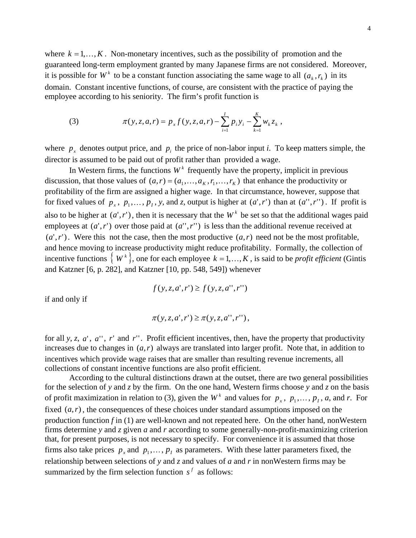where  $k = 1, \ldots, K$ . Non-monetary incentives, such as the possibility of promotion and the guaranteed long-term employment granted by many Japanese firms are not considered. Moreover, it is possible for  $W^k$  to be a constant function associating the same wage to all  $(a_k, r_k)$  in its domain. Constant incentive functions, of course, are consistent with the practice of paying the employee according to his seniority. The firm's profit function is

(3) 
$$
\pi(y, z, a, r) = p_x f(y, z, a, r) - \sum_{i=1}^{I} p_i y_i - \sum_{k=1}^{K} w_k z_k,
$$

where  $p_x$  denotes output price, and  $p_i$  the price of non-labor input *i*. To keep matters simple, the director is assumed to be paid out of profit rather than provided a wage.

In Western firms, the functions  $W<sup>k</sup>$  frequently have the property, implicit in previous discussion, that those values of  $(a, r) = (a_1, \ldots, a_K, r_1, \ldots, r_K)$  that enhance the productivity or profitability of the firm are assigned a higher wage. In that circumstance, however, suppose that for fixed values of  $p_x$ ,  $p_1, \ldots, p_I$ , y, and z, output is higher at  $(a', r')$  than at  $(a'', r'')$ . If profit is also to be higher at  $(a', r')$ , then it is necessary that the  $W^k$  be set so that the additional wages paid employees at  $(a', r')$  over those paid at  $(a'', r'')$  is less than the additional revenue received at  $(a', r')$ . Were this not the case, then the most productive  $(a, r)$  need not be the most profitable, and hence moving to increase productivity might reduce profitability. Formally, the collection of incentive functions  $\langle W^k \rangle$ , one for each employee  $k = 1, ..., K$ , is said to be *profit efficient* (Gintis and Katzner [6, p. 282], and Katzner [10, pp. 548, 549]) whenever

$$
f(y, z, a', r') \ge f(y, z, a'', r'')
$$

if and only if

$$
\pi(y, z, a', r') \geq \pi(y, z, a'', r''),
$$

for all *y*, *z*, *a*', *a*'', *r*' and *r*''. Profit efficient incentives, then, have the property that productivity increases due to changes in  $(a, r)$  always are translated into larger profit. Note that, in addition to incentives which provide wage raises that are smaller than resulting revenue increments, all collections of constant incentive functions are also profit efficient.

According to the cultural distinctions drawn at the outset, there are two general possibilities for the selection of *y* and *z* by the firm. On the one hand, Western firms choose *y* and *z* on the basis of profit maximization in relation to (3), given the  $W^k$  and values for  $p_x$ ,  $p_1, \ldots, p_t$ , a, and *r*. For fixed  $(a, r)$ , the consequences of these choices under standard assumptions imposed on the production function *f* in (1) are well-known and not repeated here. On the other hand, nonWestern firms determine *y* and *z* given *a* and *r* according to some generally-non-profit-maximizing criterion that, for present purposes, is not necessary to specify. For convenience it is assumed that those firms also take prices  $p_x$  and  $p_1, \ldots, p_l$  as parameters. With these latter parameters fixed, the relationship between selections of *y* and *z* and values of *a* and *r* in nonWestern firms may be summarized by the firm selection function  $s^f$  as follows: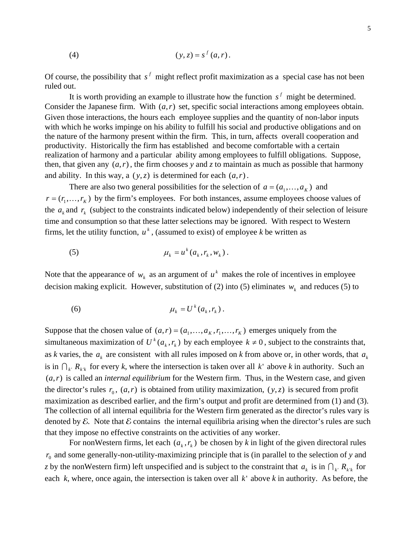(4) 
$$
(y, z) = s^f(a, r)
$$
.

Of course, the possibility that  $s^f$  might reflect profit maximization as a special case has not been ruled out.

It is worth providing an example to illustrate how the function  $s^f$  might be determined. Consider the Japanese firm. With  $(a, r)$  set, specific social interactions among employees obtain. Given those interactions, the hours each employee supplies and the quantity of non-labor inputs with which he works impinge on his ability to fulfill his social and productive obligations and on the nature of the harmony present within the firm. This, in turn, affects overall cooperation and productivity. Historically the firm has established and become comfortable with a certain realization of harmony and a particular ability among employees to fulfill obligations. Suppose, then, that given any  $(a, r)$ , the firm chooses *y* and *z* to maintain as much as possible that harmony and ability. In this way, a  $(y, z)$  is determined for each  $(a, r)$ .

There are also two general possibilities for the selection of  $a = (a_1, \dots, a_k)$  and  $r = (r_1, \ldots, r_K)$  by the firm's employees. For both instances, assume employees choose values of the  $a_k$  and  $r_k$  (subject to the constraints indicated below) independently of their selection of leisure time and consumption so that these latter selections may be ignored. With respect to Western firms, let the utility function,  $u^k$ , (assumed to exist) of employee *k* be written as

$$
\mu_k = u^k(a_k, r_k, w_k).
$$

Note that the appearance of  $w_k$  as an argument of  $u^k$  makes the role of incentives in employee decision making explicit. However, substitution of (2) into (5) eliminates  $w_k$  and reduces (5) to

$$
\mu_k = U^k(a_k, r_k).
$$

Suppose that the chosen value of  $(a, r) = (a_1, \ldots, a_K, r_1, \ldots, r_K)$  emerges uniquely from the simultaneous maximization of  $U^k(a_k, r_k)$  by each employee  $k \neq 0$ , subject to the constraints that, as *k* varies, the  $a_k$  are consistent with all rules imposed on *k* from above or, in other words, that  $a_k$ is in  $\bigcap_k R_{k'k}$  for every *k*, where the intersection is taken over all *k* ' above *k* in authority. Such an  $(a, r)$  is called an *internal equilibrium* for the Western firm. Thus, in the Western case, and given the director's rules  $r_0$ ,  $(a, r)$  is obtained from utility maximization,  $(y, z)$  is secured from profit maximization as described earlier, and the firm's output and profit are determined from (1) and (3). The collection of all internal equilibria for the Western firm generated as the director's rules vary is denoted by  $\mathcal E$ . Note that  $\mathcal E$  contains the internal equilibria arising when the director's rules are such that they impose no effective constraints on the activities of any worker.

For nonWestern firms, let each  $(a_k, r_k)$  be chosen by *k* in light of the given directoral rules  $r_0$  and some generally-non-utility-maximizing principle that is (in parallel to the selection of  $y$  and z by the nonWestern firm) left unspecified and is subject to the constraint that  $a_k$  is in  $\bigcap_{k} R_{k'k}$  for each  $k$ , where, once again, the intersection is taken over all  $k'$  above  $k$  in authority. As before, the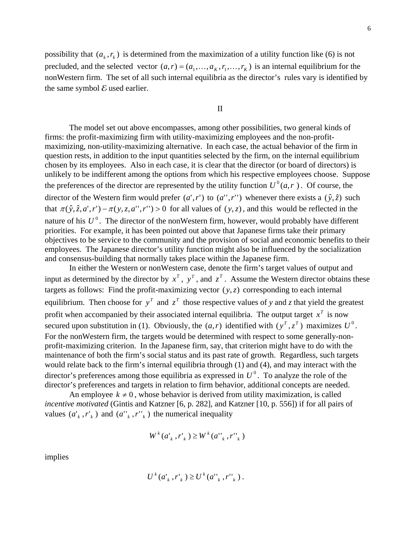possibility that  $(a_k, r_k)$  is determined from the maximization of a utility function like (6) is not precluded, and the selected vector  $(a, r) = (a_1, \ldots, a_K, r_1, \ldots, r_K)$  is an internal equilibrium for the nonWestern firm. The set of all such internal equilibria as the director's rules vary is identified by the same symbol  $\mathcal E$  used earlier.

#### II

The model set out above encompasses, among other possibilities, two general kinds of firms: the profit-maximizing firm with utility-maximizing employees and the non-profitmaximizing, non-utility-maximizing alternative. In each case, the actual behavior of the firm in question rests, in addition to the input quantities selected by the firm, on the internal equilibrium chosen by its employees. Also in each case, it is clear that the director (or board of directors) is unlikely to be indifferent among the options from which his respective employees choose. Suppose the preferences of the director are represented by the utility function  $U^0(a, r)$ . Of course, the director of the Western firm would prefer  $(a', r')$  to  $(a'', r'')$  whenever there exists a  $(\hat{y}, \hat{z})$  such that  $\pi(\hat{y}, \hat{z}, a', r') - \pi(y, z, a'', r'') > 0$  for all values of  $(y, z)$ , and this would be reflected in the nature of his  $U^0$ . The director of the nonWestern firm, however, would probably have different priorities. For example, it has been pointed out above that Japanese firms take their primary objectives to be service to the community and the provision of social and economic benefits to their employees. The Japanese director's utility function might also be influenced by the socialization and consensus-building that normally takes place within the Japanese firm.

In either the Western or nonWestern case, denote the firm's target values of output and input as determined by the director by  $x^T$ ,  $y^T$ , and  $z^T$ . Assume the Western director obtains these targets as follows: Find the profit-maximizing vector  $(y, z)$  corresponding to each internal equilibrium. Then choose for  $y^T$  and  $z^T$  those respective values of *y* and *z* that yield the greatest profit when accompanied by their associated internal equilibria. The output target  $x<sup>T</sup>$  is now secured upon substitution in (1). Obviously, the  $(a, r)$  identified with  $(y^T, z^T)$  maximizes  $U^0$ . For the nonWestern firm, the targets would be determined with respect to some generally-nonprofit-maximizing criterion. In the Japanese firm, say, that criterion might have to do with the maintenance of both the firm's social status and its past rate of growth. Regardless, such targets would relate back to the firm's internal equilibria through (1) and (4), and may interact with the director's preferences among those equilibria as expressed in  $U^0$ . To analyze the role of the director's preferences and targets in relation to firm behavior, additional concepts are needed.

An employee  $k \neq 0$ , whose behavior is derived from utility maximization, is called *incentive motivated* (Gintis and Katzner [6, p. 282], and Katzner [10, p. 556]) if for all pairs of values  $(a'_k, r'_k)$  and  $(a''_k, r''_k)$  the numerical inequality

$$
W^k(a^{\scriptscriptstyle{\intercal}}_k, r^{\scriptscriptstyle{\intercal}}_k) \geq W^k(a^{\scriptscriptstyle{\intercal}}_k, r^{\scriptscriptstyle{\intercal}}_k)
$$

implies

$$
U^{k}(a_{k}^{\prime},r_{k}^{\prime})\geq U^{k}(a_{k}^{\prime},r_{k}^{\prime})\,.
$$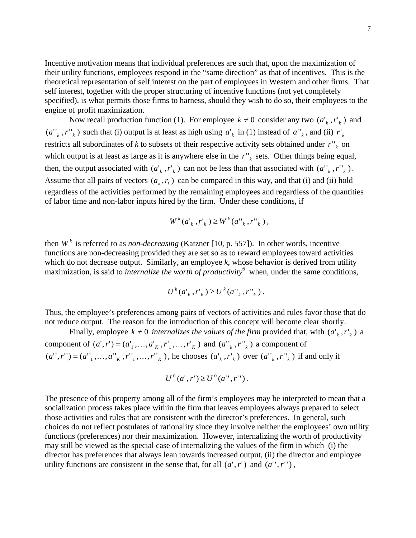Incentive motivation means that individual preferences are such that, upon the maximization of their utility functions, employees respond in the "same direction" as that of incentives. This is the theoretical representation of self interest on the part of employees in Western and other firms. That self interest, together with the proper structuring of incentive functions (not yet completely specified), is what permits those firms to harness, should they wish to do so, their employees to the engine of profit maximization.

Now recall production function (1). For employee  $k \neq 0$  consider any two  $(a'_k, r'_k)$  and  $(a''_k, r''_k)$  such that (i) output is at least as high using  $a'_k$  in (1) instead of  $a''_k$ , and (ii)  $r'_k$ restricts all subordinates of *k* to subsets of their respective activity sets obtained under  $r_{k}^{n}$  on which output is at least as large as it is anywhere else in the  $r''_k$  sets. Other things being equal, then, the output associated with  $(a'_k, r'_k)$  can not be less than that associated with  $(a''_k, r''_k)$ . Assume that all pairs of vectors  $(a_k, r_k)$  can be compared in this way, and that (i) and (ii) hold regardless of the activities performed by the remaining employees and regardless of the quantities of labor time and non-labor inputs hired by the firm. Under these conditions, if

$$
W^{k}(a_{k}^{\prime},r_{k}^{\prime})\geq W^{k}(a_{k}^{\prime},r_{k}^{\prime})
$$

then  $W^k$  is referred to as *non-decreasing* (Katzner [10, p. 557]). In other words, incentive functions are non-decreasing provided they are set so as to reward employees toward activities which do not decrease output. Similarly, an employee *k*, whose behavior is derived from utility maximization, is said to *internalize the worth of productivity* 6 when, under the same conditions,

$$
U^{k}(a_{k}^{\prime},r_{k}^{\prime})\geq U^{k}(a_{k}^{\prime},r_{k}^{\prime})\,.
$$

Thus, the employee's preferences among pairs of vectors of activities and rules favor those that do not reduce output. The reason for the introduction of this concept will become clear shortly.

Finally, employee  $k \neq 0$  internalizes the values of the firm provided that, with  $(a_k^k, r_k^k)$  a component of  $(a', r') = (a'_1, \dots, a'_{K}, r'_1, \dots, r'_{K})$  and  $(a''_{K}, r''_{K})$  a component of  $(a'', r'') = (a''_1, \ldots, a''_k, r''_1, \ldots, r''_k)$ , he chooses  $(a'_k, r'_k)$  over  $(a''_k, r''_k)$  if and only if

$$
U^{0}(a',r') \geq U^{0}(a'',r'') .
$$

The presence of this property among all of the firm's employees may be interpreted to mean that a socialization process takes place within the firm that leaves employees always prepared to select those activities and rules that are consistent with the director's preferences. In general, such choices do not reflect postulates of rationality since they involve neither the employees' own utility functions (preferences) nor their maximization. However, internalizing the worth of productivity may still be viewed as the special case of internalizing the values of the firm in which (i) the director has preferences that always lean towards increased output, (ii) the director and employee utility functions are consistent in the sense that, for all  $(a', r')$  and  $(a'', r'')$ ,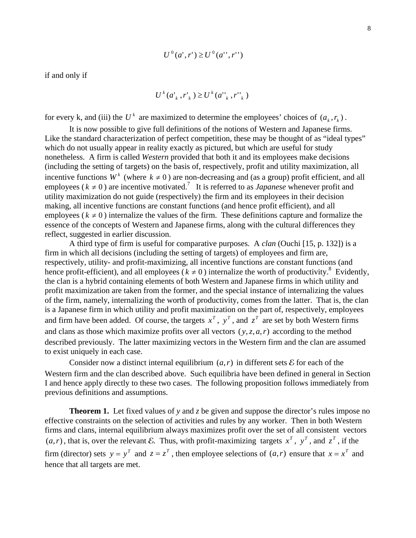$$
U^{0}(a',r') \ge U^{0}(a'',r'')
$$

if and only if

$$
U^{k}(a_{k}^{\prime},r_{k}^{\prime})\geq U^{k}(a_{k}^{\prime},r_{k}^{\prime})
$$

for every k, and (iii) the  $U^k$  are maximized to determine the employees' choices of  $(a_k, r_k)$ .

It is now possible to give full definitions of the notions of Western and Japanese firms. Like the standard characterization of perfect competition, these may be thought of as "ideal types" which do not usually appear in reality exactly as pictured, but which are useful for study nonetheless. A firm is called *Western* provided that both it and its employees make decisions (including the setting of targets) on the basis of, respectively, profit and utility maximization, all incentive functions  $W^k$  (where  $k \neq 0$ ) are non-decreasing and (as a group) profit efficient, and all employees ( $k \neq 0$ ) are incentive motivated.<sup>7</sup> It is referred to as *Japanese* whenever profit and utility maximization do not guide (respectively) the firm and its employees in their decision making, all incentive functions are constant functions (and hence profit efficient), and all employees ( $k \neq 0$ ) internalize the values of the firm. These definitions capture and formalize the essence of the concepts of Western and Japanese firms, along with the cultural differences they reflect, suggested in earlier discussion.

A third type of firm is useful for comparative purposes. A *clan* (Ouchi [15, p. 132]) is a firm in which all decisions (including the setting of targets) of employees and firm are, respectively, utility- and profit-maximizing, all incentive functions are constant functions (and hence profit-efficient), and all employees ( $k \neq 0$ ) internalize the worth of productivity.<sup>8</sup> Evidently, the clan is a hybrid containing elements of both Western and Japanese firms in which utility and profit maximization are taken from the former, and the special instance of internalizing the values of the firm, namely, internalizing the worth of productivity, comes from the latter. That is, the clan is a Japanese firm in which utility and profit maximization on the part of, respectively, employees and firm have been added. Of course, the targets  $x^T$ ,  $y^T$ , and  $z^T$  are set by both Western firms and clans as those which maximize profits over all vectors  $(y, z, a, r)$  according to the method described previously. The latter maximizing vectors in the Western firm and the clan are assumed to exist uniquely in each case.

Consider now a distinct internal equilibrium  $(a, r)$  in different sets  $\mathcal E$  for each of the Western firm and the clan described above. Such equilibria have been defined in general in Section I and hence apply directly to these two cases. The following proposition follows immediately from previous definitions and assumptions.

**Theorem 1.** Let fixed values of *y* and *z* be given and suppose the director's rules impose no effective constraints on the selection of activities and rules by any worker. Then in both Western firms and clans, internal equilibrium always maximizes profit over the set of all consistent vectors  $(a, r)$ , that is, over the relevant E. Thus, with profit-maximizing targets  $x^T$ ,  $y^T$ , and  $z^T$ , if the firm (director) sets  $y = y^T$  and  $z = z^T$ , then employee selections of  $(a, r)$  ensure that  $x = x^T$  and hence that all targets are met.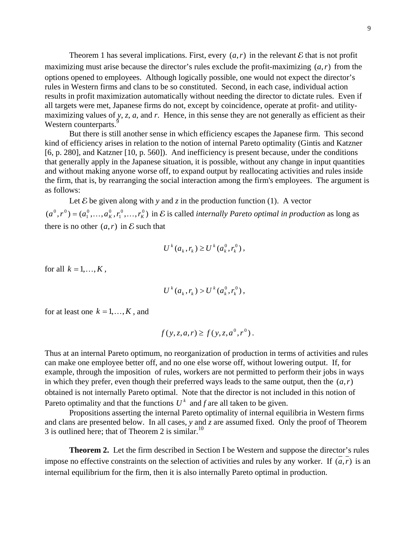Theorem 1 has several implications. First, every  $(a, r)$  in the relevant  $\mathcal E$  that is not profit maximizing must arise because the director's rules exclude the profit-maximizing  $(a, r)$  from the options opened to employees. Although logically possible, one would not expect the director's rules in Western firms and clans to be so constituted. Second, in each case, individual action results in profit maximization automatically without needing the director to dictate rules. Even if all targets were met, Japanese firms do not, except by coincidence, operate at profit- and utilitymaximizing values of *y*, *z*, *a*, and *r*. Hence, in this sense they are not generally as efficient as their Western counterparts.<sup>9</sup>

But there is still another sense in which efficiency escapes the Japanese firm. This second kind of efficiency arises in relation to the notion of internal Pareto optimality (Gintis and Katzner [6, p. 280], and Katzner [10, p. 560]). And inefficiency is present because, under the conditions that generally apply in the Japanese situation, it is possible, without any change in input quantities and without making anyone worse off, to expand output by reallocating activities and rules inside the firm, that is, by rearranging the social interaction among the firm's employees. The argument is as follows:

Let  $\mathcal E$  be given along with y and z in the production function (1). A vector  $(a^0, r^0) = (a_1^0, \ldots, a_K^0, r_1^0, \ldots, r_K^0)$  in E is called *internally Pareto optimal in production* as long as there is no other  $(a, r)$  in E such that  $0 \qquad \qquad 0$ 1  $(a^0, r^0) = (a_1^0, \ldots, a_K^0, r_1^0, \ldots, r_K^0)$ 

$$
U^{k}(a_{k}, r_{k}) \geq U^{k}(a_{k}^{0}, r_{k}^{0}),
$$

for all  $k = 1, ..., K$ ,

$$
U^{k}(a_{k}, r_{k}) > U^{k}(a_{k}^{0}, r_{k}^{0}),
$$

for at least one  $k = 1, ..., K$ , and

$$
f(y, z, a, r) \ge f(y, z, a^0, r^0)
$$
.

Thus at an internal Pareto optimum, no reorganization of production in terms of activities and rules can make one employee better off, and no one else worse off, without lowering output. If, for example, through the imposition of rules, workers are not permitted to perform their jobs in ways in which they prefer, even though their preferred ways leads to the same output, then the  $(a, r)$ obtained is not internally Pareto optimal. Note that the director is not included in this notion of Pareto optimality and that the functions  $U^k$  and *f* are all taken to be given.

Propositions asserting the internal Pareto optimality of internal equilibria in Western firms and clans are presented below. In all cases, *y* and *z* are assumed fixed. Only the proof of Theorem 3 is outlined here; that of Theorem 2 is similar.<sup>10</sup>

**Theorem 2.** Let the firm described in Section I be Western and suppose the director's rules impose no effective constraints on the selection of activities and rules by any worker. If  $(a, r)$  is an internal equilibrium for the firm, then it is also internally Pareto optimal in production.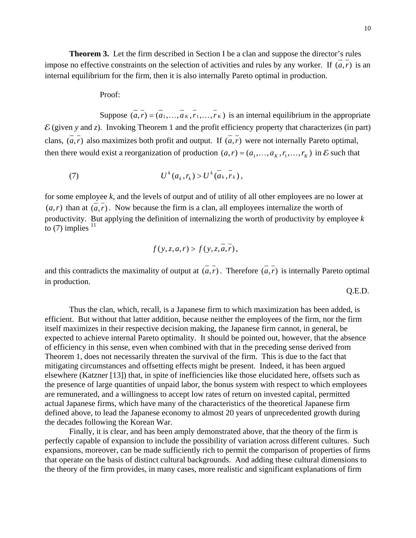**Theorem 3.** Let the firm described in Section I be a clan and suppose the director's rules impose no effective constraints on the selection of activities and rules by any worker. If  $(a, r)$  is an internal equilibrium for the firm, then it is also internally Pareto optimal in production.

Proof:

Suppose  $(a, r) = (a_1, \ldots, a_k, r_1, \ldots, r_k)$  is an internal equilibrium in the appropriate  $\mathcal E$  (given *y* and *z*). Invoking Theorem 1 and the profit efficiency property that characterizes (in part) clans,  $(\overline{a}, \overline{r})$  also maximizes both profit and output. If  $(\overline{a}, \overline{r})$  were not internally Pareto optimal, then there would exist a reorganization of production  $(a, r) = (a_1, \ldots, a_k, r_1, \ldots, r_k)$  in E such that

$$
(7) \tUk(ak,rk) > Uk(ak,rk),
$$

for some employee *k*, and the levels of output and of utility of all other employees are no lower at  $(a, r)$  than at  $(a, r)$ . Now because the firm is a clan, all employees internalize the worth of productivity. But applying the definition of internalizing the worth of productivity by employee *k* to  $(7)$  implies  $<sup>11</sup>$ </sup>

$$
f(y, z, a, r) > f(y, z, a, r),
$$

and this contradicts the maximality of output at  $(a, r)$ . Therefore  $(a, r)$  is internally Pareto optimal in production.

Q.E.D.

Thus the clan, which, recall, is a Japanese firm to which maximization has been added, is efficient. But without that latter addition, because neither the employees of the firm, nor the firm itself maximizes in their respective decision making, the Japanese firm cannot, in general, be expected to achieve internal Pareto optimality. It should be pointed out, however, that the absence of efficiency in this sense, even when combined with that in the preceding sense derived from Theorem 1, does not necessarily threaten the survival of the firm. This is due to the fact that mitigating circumstances and offsetting effects might be present. Indeed, it has been argued elsewhere (Katzner [13]) that, in spite of inefficiencies like those elucidated here, offsets such as the presence of large quantities of unpaid labor, the bonus system with respect to which employees are remunerated, and a willingness to accept low rates of return on invested capital, permitted actual Japanese firms, which have many of the characteristics of the theoretical Japanese firm defined above, to lead the Japanese economy to almost 20 years of unprecedented growth during the decades following the Korean War.

Finally, it is clear, and has been amply demonstrated above, that the theory of the firm is perfectly capable of expansion to include the possibility of variation across different cultures. Such expansions, moreover, can be made sufficiently rich to permit the comparison of properties of firms that operate on the basis of distinct cultural backgrounds. And adding these cultural dimensions to the theory of the firm provides, in many cases, more realistic and significant explanations of firm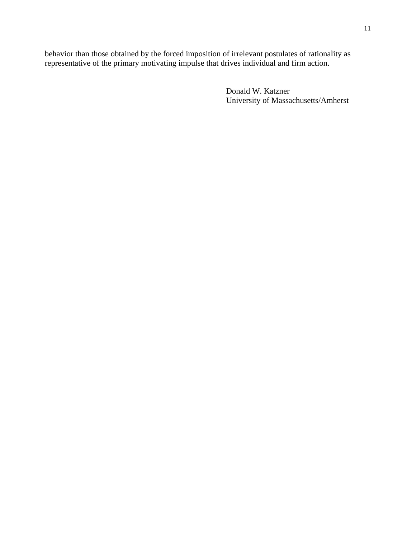behavior than those obtained by the forced imposition of irrelevant postulates of rationality as representative of the primary motivating impulse that drives individual and firm action.

> Donald W. Katzner University of Massachusetts/Amherst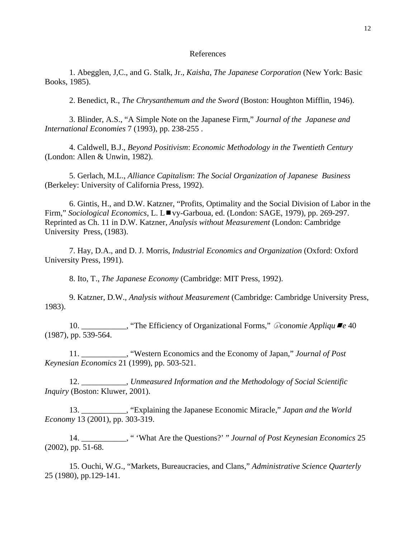#### References

1. Abegglen, J,C., and G. Stalk, Jr., *Kaisha*, *The Japanese Corporation* (New York: Basic Books, 1985).

2. Benedict, R., *The Chrysanthemum and the Sword* (Boston: Houghton Mifflin, 1946).

3. Blinder, A.S., "A Simple Note on the Japanese Firm," *Journal of the Japanese and International Economies* 7 (1993), pp. 238-255 .

4. Caldwell, B.J., *Beyond Positivism*: *Economic Methodology in the Twentieth Century* (London: Allen & Unwin, 1982).

5. Gerlach, M.L., *Alliance Capitalism*: *The Social Organization of Japanese Business* (Berkeley: University of California Press, 1992).

6. Gintis, H., and D.W. Katzner, "Profits, Optimality and the Social Division of Labor in the Firm," *Sociological Economics*, L. L■vy-Garboua, ed. (London: SAGE, 1979), pp. 269-297. Reprinted as Ch. 11 in D.W. Katzner, *Analysis without Measurement* (London: Cambridge University Press, (1983).

7. Hay, D.A., and D. J. Morris, *Industrial Economics and Organization* (Oxford: Oxford University Press, 1991).

8. Ito, T., *The Japanese Economy* (Cambridge: MIT Press, 1992).

9. Katzner, D.W., *Analysis without Measurement* (Cambridge: Cambridge University Press, 1983).

10. \_\_\_\_\_\_\_\_\_\_\_, "The Efficiency of Organizational Forms," m*conomie Appliqu e* 40 (1987), pp. 539-564.

11. \_\_\_\_\_\_\_\_\_\_\_, "Western Economics and the Economy of Japan," *Journal of Post Keynesian Economics* 21 (1999), pp. 503-521.

12. \_\_\_\_\_\_\_\_\_\_\_, *Unmeasured Information and the Methodology of Social Scientific Inquiry* (Boston: Kluwer, 2001).

13. \_\_\_\_\_\_\_\_\_\_\_, "Explaining the Japanese Economic Miracle," *Japan and the World Economy* 13 (2001), pp. 303-319.

14. \_\_\_\_\_\_\_\_\_\_\_, " 'What Are the Questions?' " *Journal of Post Keynesian Economics* 25 (2002), pp. 51-68.

15. Ouchi, W.G., "Markets, Bureaucracies, and Clans," *Administrative Science Quarterly* 25 (1980), pp.129-141.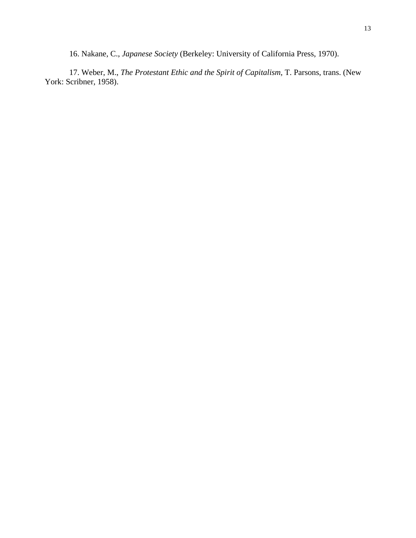16. Nakane, C., *Japanese Society* (Berkeley: University of California Press, 1970).

17. Weber, M., *The Protestant Ethic and the Spirit of Capitalism*, T. Parsons, trans. (New York: Scribner, 1958).